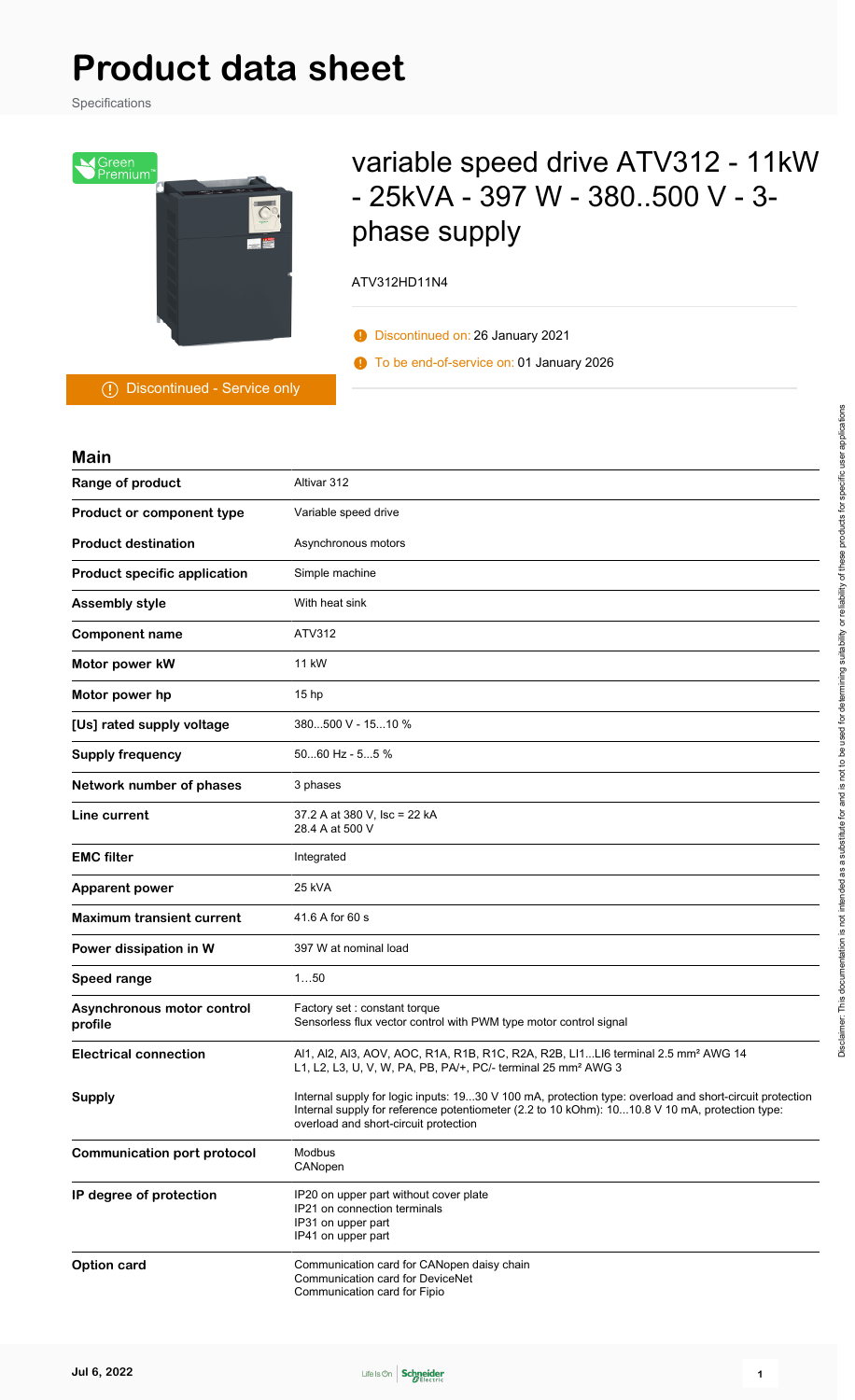# **Product data sheet**

Specifications



# variable speed drive ATV312 - 11kW - 25kVA - 397 W - 380..500 V - 3 phase supply

#### ATV312HD11N4

- Discontinued on: 26 January 2021
- To be end-of-service on: 01 January 2026

Discontinued - Service only

| <b>Main</b>                           |                                                                                                                                                                                                                                                    |
|---------------------------------------|----------------------------------------------------------------------------------------------------------------------------------------------------------------------------------------------------------------------------------------------------|
| Range of product                      | Altivar 312                                                                                                                                                                                                                                        |
| Product or component type             | Variable speed drive                                                                                                                                                                                                                               |
| <b>Product destination</b>            | Asynchronous motors                                                                                                                                                                                                                                |
| <b>Product specific application</b>   | Simple machine                                                                                                                                                                                                                                     |
| <b>Assembly style</b>                 | With heat sink                                                                                                                                                                                                                                     |
| <b>Component name</b>                 | ATV312                                                                                                                                                                                                                                             |
| Motor power kW                        | 11 kW                                                                                                                                                                                                                                              |
| Motor power hp                        | 15 <sub>hp</sub>                                                                                                                                                                                                                                   |
| [Us] rated supply voltage             | 380500 V - 1510 %                                                                                                                                                                                                                                  |
| <b>Supply frequency</b>               | $5060$ Hz - $55$ %                                                                                                                                                                                                                                 |
| Network number of phases              | 3 phases                                                                                                                                                                                                                                           |
| Line current                          | 37.2 A at 380 V, Isc = 22 kA<br>28.4 A at 500 V                                                                                                                                                                                                    |
| <b>EMC filter</b>                     | Integrated                                                                                                                                                                                                                                         |
| <b>Apparent power</b>                 | 25 kVA                                                                                                                                                                                                                                             |
| <b>Maximum transient current</b>      | 41.6 A for 60 s                                                                                                                                                                                                                                    |
| Power dissipation in W                | 397 W at nominal load                                                                                                                                                                                                                              |
| <b>Speed range</b>                    | 150                                                                                                                                                                                                                                                |
| Asynchronous motor control<br>profile | Factory set: constant torque<br>Sensorless flux vector control with PWM type motor control signal                                                                                                                                                  |
| <b>Electrical connection</b>          | Al1, Al2, Al3, AOV, AOC, R1A, R1B, R1C, R2A, R2B, Ll1Ll6 terminal 2.5 mm <sup>2</sup> AWG 14<br>L1, L2, L3, U, V, W, PA, PB, PA/+, PC/- terminal 25 mm <sup>2</sup> AWG 3                                                                          |
| <b>Supply</b>                         | Internal supply for logic inputs: 1930 V 100 mA, protection type: overload and short-circuit protection<br>Internal supply for reference potentiometer (2.2 to 10 kOhm): 1010.8 V 10 mA, protection type:<br>overload and short-circuit protection |
| <b>Communication port protocol</b>    | Modbus<br>CANopen                                                                                                                                                                                                                                  |
| IP degree of protection               | IP20 on upper part without cover plate<br>IP21 on connection terminals<br>IP31 on upper part<br>IP41 on upper part                                                                                                                                 |
| Option card                           | Communication card for CANopen daisy chain<br>Communication card for DeviceNet<br>Communication card for Fipio                                                                                                                                     |

Disclaimer: This documentation is not intended as a substitute for and is not to be used for determining suitability or reliability of these products for specific user applications Disclaimer: This documentation is not intended as a substitute for and is not to be used for determining suitability or reliability of these products for specific user applications

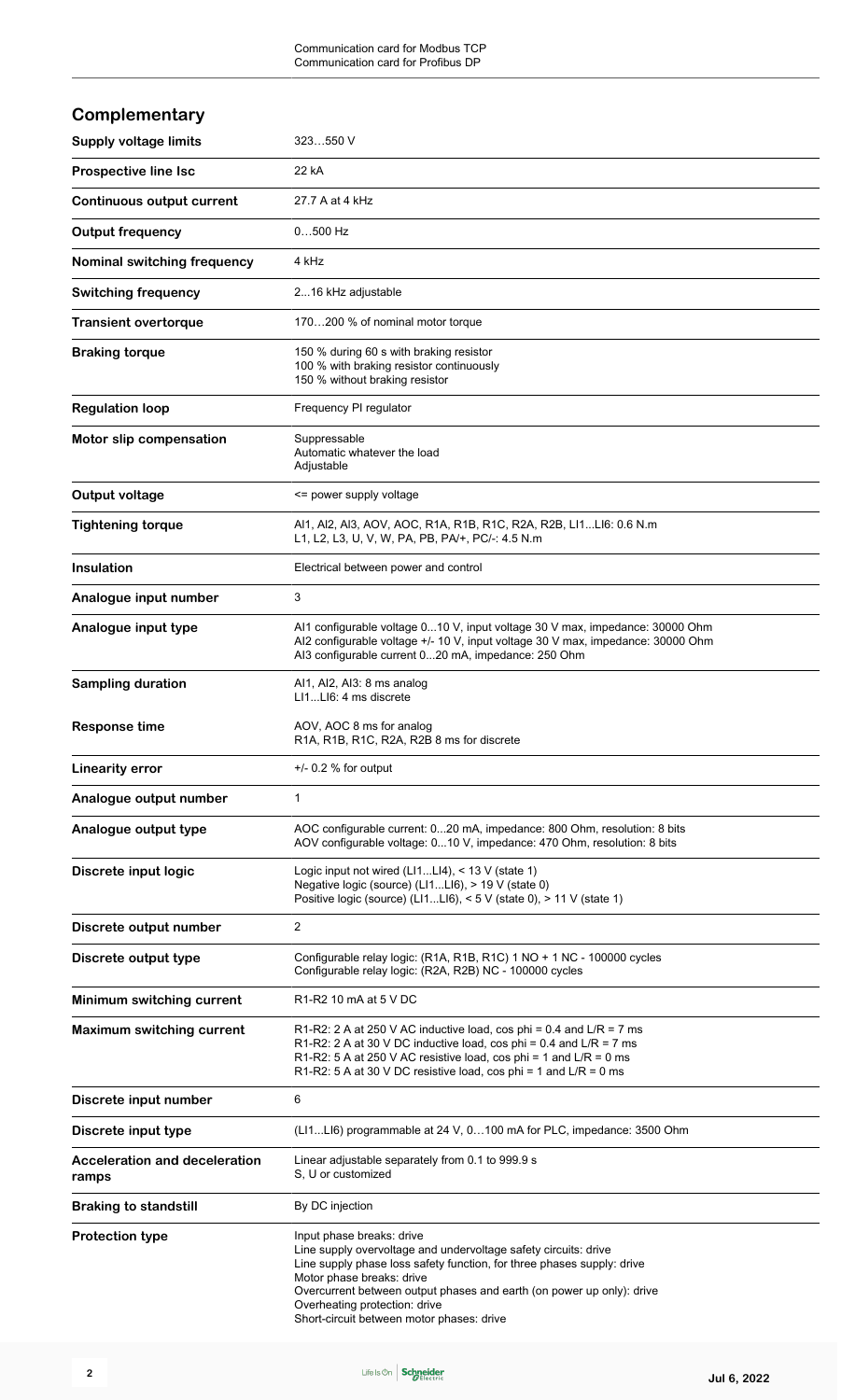| Complementary                                 |                                                                                                                                                                                                                                                                                                                                                            |
|-----------------------------------------------|------------------------------------------------------------------------------------------------------------------------------------------------------------------------------------------------------------------------------------------------------------------------------------------------------------------------------------------------------------|
| <b>Supply voltage limits</b>                  | 323550 V                                                                                                                                                                                                                                                                                                                                                   |
| <b>Prospective line Isc</b>                   | 22 kA                                                                                                                                                                                                                                                                                                                                                      |
| <b>Continuous output current</b>              | 27.7 A at 4 kHz                                                                                                                                                                                                                                                                                                                                            |
| <b>Output frequency</b>                       | $0500$ Hz                                                                                                                                                                                                                                                                                                                                                  |
| Nominal switching frequency                   | 4 kHz                                                                                                                                                                                                                                                                                                                                                      |
| <b>Switching frequency</b>                    | 216 kHz adjustable                                                                                                                                                                                                                                                                                                                                         |
| <b>Transient overtorque</b>                   | 170200 % of nominal motor torque                                                                                                                                                                                                                                                                                                                           |
| <b>Braking torque</b>                         | 150 % during 60 s with braking resistor<br>100 % with braking resistor continuously<br>150 % without braking resistor                                                                                                                                                                                                                                      |
| <b>Regulation loop</b>                        | Frequency PI regulator                                                                                                                                                                                                                                                                                                                                     |
| Motor slip compensation                       | Suppressable<br>Automatic whatever the load<br>Adjustable                                                                                                                                                                                                                                                                                                  |
| <b>Output voltage</b>                         | <= power supply voltage                                                                                                                                                                                                                                                                                                                                    |
| <b>Tightening torque</b>                      | Al1, Al2, Al3, AOV, AOC, R1A, R1B, R1C, R2A, R2B, Ll1Ll6: 0.6 N.m<br>L1, L2, L3, U, V, W, PA, PB, PA/+, PC/-: 4.5 N.m                                                                                                                                                                                                                                      |
| <b>Insulation</b>                             | Electrical between power and control                                                                                                                                                                                                                                                                                                                       |
| Analogue input number                         | 3                                                                                                                                                                                                                                                                                                                                                          |
| Analogue input type                           | Al1 configurable voltage 010 V, input voltage 30 V max, impedance: 30000 Ohm<br>Al2 configurable voltage +/- 10 V, input voltage 30 V max, impedance: 30000 Ohm<br>AI3 configurable current 020 mA, impedance: 250 Ohm                                                                                                                                     |
| <b>Sampling duration</b>                      | Al1, Al2, Al3: 8 ms analog<br>LI1LI6: 4 ms discrete                                                                                                                                                                                                                                                                                                        |
| <b>Response time</b>                          | AOV, AOC 8 ms for analog<br>R1A, R1B, R1C, R2A, R2B 8 ms for discrete                                                                                                                                                                                                                                                                                      |
| <b>Linearity error</b>                        | $+/-$ 0.2 % for output                                                                                                                                                                                                                                                                                                                                     |
| Analogue output number                        | 1                                                                                                                                                                                                                                                                                                                                                          |
| Analogue output type                          | AOC configurable current: 020 mA, impedance: 800 Ohm, resolution: 8 bits<br>AOV configurable voltage: 010 V, impedance: 470 Ohm, resolution: 8 bits                                                                                                                                                                                                        |
| Discrete input logic                          | Logic input not wired $(L11L14)$ , < 13 V (state 1)<br>Negative logic (source) (LI1LI6), > 19 V (state 0)<br>Positive logic (source) (LI1LI6), < 5 V (state 0), > 11 V (state 1)                                                                                                                                                                           |
| Discrete output number                        | 2                                                                                                                                                                                                                                                                                                                                                          |
| Discrete output type                          | Configurable relay logic: (R1A, R1B, R1C) 1 NO + 1 NC - 100000 cycles<br>Configurable relay logic: (R2A, R2B) NC - 100000 cycles                                                                                                                                                                                                                           |
| Minimum switching current                     | R1-R2 10 mA at 5 V DC                                                                                                                                                                                                                                                                                                                                      |
| <b>Maximum switching current</b>              | R1-R2: 2 A at 250 V AC inductive load, cos phi = $0.4$ and L/R = 7 ms<br>R1-R2: 2 A at 30 V DC inductive load, cos phi = $0.4$ and L/R = 7 ms<br>R1-R2: 5 A at 250 V AC resistive load, cos phi = 1 and $L/R = 0$ ms<br>R1-R2: 5 A at 30 V DC resistive load, cos phi = 1 and $L/R = 0$ ms                                                                 |
| Discrete input number                         | 6                                                                                                                                                                                                                                                                                                                                                          |
| Discrete input type                           | (LI1LI6) programmable at 24 V, 0100 mA for PLC, impedance: 3500 Ohm                                                                                                                                                                                                                                                                                        |
| <b>Acceleration and deceleration</b><br>ramps | Linear adjustable separately from 0.1 to 999.9 s<br>S, U or customized                                                                                                                                                                                                                                                                                     |
| <b>Braking to standstill</b>                  | By DC injection                                                                                                                                                                                                                                                                                                                                            |
| <b>Protection type</b>                        | Input phase breaks: drive<br>Line supply overvoltage and undervoltage safety circuits: drive<br>Line supply phase loss safety function, for three phases supply: drive<br>Motor phase breaks: drive<br>Overcurrent between output phases and earth (on power up only): drive<br>Overheating protection: drive<br>Short-circuit between motor phases: drive |

Life Is On Schneider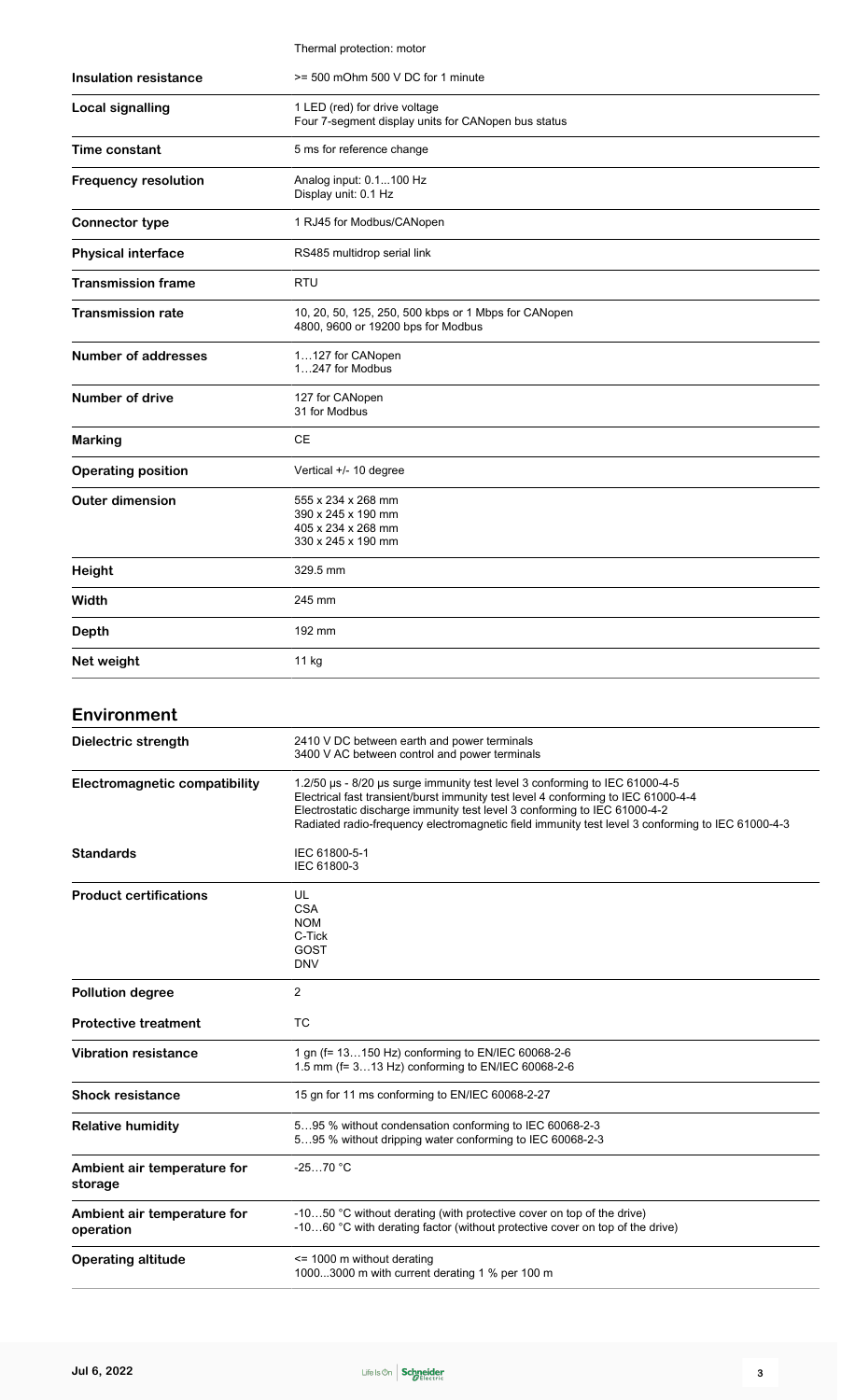|                              | Thermal protection: motor                                                                  |
|------------------------------|--------------------------------------------------------------------------------------------|
| <b>Insulation resistance</b> | >= 500 mOhm 500 V DC for 1 minute                                                          |
| <b>Local signalling</b>      | 1 LED (red) for drive voltage<br>Four 7-segment display units for CANopen bus status       |
| Time constant                | 5 ms for reference change                                                                  |
| <b>Frequency resolution</b>  | Analog input: 0.1100 Hz<br>Display unit: 0.1 Hz                                            |
| <b>Connector type</b>        | 1 RJ45 for Modbus/CANopen                                                                  |
| <b>Physical interface</b>    | RS485 multidrop serial link                                                                |
| <b>Transmission frame</b>    | <b>RTU</b>                                                                                 |
| <b>Transmission rate</b>     | 10, 20, 50, 125, 250, 500 kbps or 1 Mbps for CANopen<br>4800, 9600 or 19200 bps for Modbus |
| <b>Number of addresses</b>   | 1127 for CANopen<br>1247 for Modbus                                                        |
| <b>Number of drive</b>       | 127 for CANopen<br>31 for Modbus                                                           |
| <b>Marking</b>               | <b>CE</b>                                                                                  |
| <b>Operating position</b>    | Vertical +/- 10 degree                                                                     |
| <b>Outer dimension</b>       | 555 x 234 x 268 mm<br>390 x 245 x 190 mm<br>405 x 234 x 268 mm<br>330 x 245 x 190 mm       |
| Height                       | 329.5 mm                                                                                   |
| Width                        | 245 mm                                                                                     |
| <b>Depth</b>                 | 192 mm                                                                                     |
| Net weight                   | $11$ kg                                                                                    |
|                              |                                                                                            |

### **Environment**

| Dielectric strength                      | 2410 V DC between earth and power terminals<br>3400 V AC between control and power terminals                                                                                                                                                                                                                                                      |
|------------------------------------------|---------------------------------------------------------------------------------------------------------------------------------------------------------------------------------------------------------------------------------------------------------------------------------------------------------------------------------------------------|
| <b>Electromagnetic compatibility</b>     | 1.2/50 us - 8/20 us surge immunity test level 3 conforming to IEC 61000-4-5<br>Electrical fast transient/burst immunity test level 4 conforming to IEC 61000-4-4<br>Electrostatic discharge immunity test level 3 conforming to IEC 61000-4-2<br>Radiated radio-frequency electromagnetic field immunity test level 3 conforming to IEC 61000-4-3 |
| <b>Standards</b>                         | IEC 61800-5-1<br>IEC 61800-3                                                                                                                                                                                                                                                                                                                      |
| <b>Product certifications</b>            | UL<br><b>CSA</b><br><b>NOM</b><br>C-Tick<br>GOST<br><b>DNV</b>                                                                                                                                                                                                                                                                                    |
| <b>Pollution degree</b>                  | $\overline{2}$                                                                                                                                                                                                                                                                                                                                    |
| <b>Protective treatment</b>              | <b>TC</b>                                                                                                                                                                                                                                                                                                                                         |
| <b>Vibration resistance</b>              | 1 gn (f= 13150 Hz) conforming to EN/IEC 60068-2-6<br>1.5 mm (f= 313 Hz) conforming to EN/IEC 60068-2-6                                                                                                                                                                                                                                            |
| <b>Shock resistance</b>                  | 15 gn for 11 ms conforming to EN/IEC 60068-2-27                                                                                                                                                                                                                                                                                                   |
| <b>Relative humidity</b>                 | 595 % without condensation conforming to IEC 60068-2-3<br>595 % without dripping water conforming to IEC 60068-2-3                                                                                                                                                                                                                                |
| Ambient air temperature for<br>storage   | $-2570$ °C                                                                                                                                                                                                                                                                                                                                        |
| Ambient air temperature for<br>operation | -1050 °C without derating (with protective cover on top of the drive)<br>-1060 °C with derating factor (without protective cover on top of the drive)                                                                                                                                                                                             |
| <b>Operating altitude</b>                | $\le$ 1000 m without derating<br>10003000 m with current derating 1 % per 100 m                                                                                                                                                                                                                                                                   |